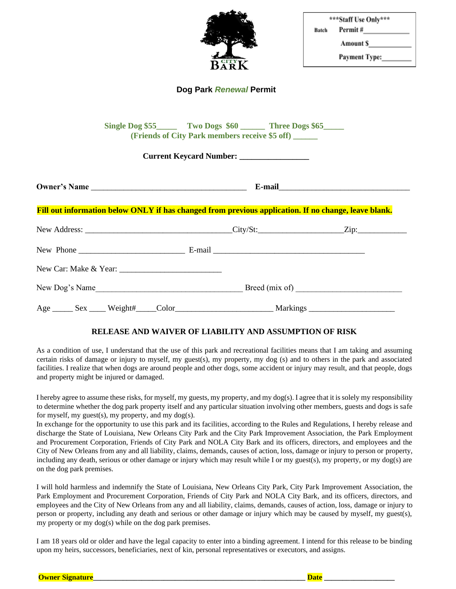| Ñ<br>R<br>j | Z<br>$\mathbf{R}^{\text{H}}$ |
|-------------|------------------------------|

| ***Staff Use Only*** |                      |  |
|----------------------|----------------------|--|
| Batch                | Permit#              |  |
|                      | <b>Amount S</b>      |  |
|                      | <b>Payment Type:</b> |  |

### **Dog Park** *Renewal* **Permit**

| Single Dog \$55_________ Two Dogs \$60 _________ Three Dogs \$65______<br>(Friends of City Park members receive \$5 off) ______<br>Current Keycard Number: __________________ |  |  |  |  |
|-------------------------------------------------------------------------------------------------------------------------------------------------------------------------------|--|--|--|--|
|                                                                                                                                                                               |  |  |  |  |
| Fill out information below ONLY if has changed from previous application. If no change, leave blank.                                                                          |  |  |  |  |
|                                                                                                                                                                               |  |  |  |  |
|                                                                                                                                                                               |  |  |  |  |
|                                                                                                                                                                               |  |  |  |  |
|                                                                                                                                                                               |  |  |  |  |
|                                                                                                                                                                               |  |  |  |  |

#### **RELEASE AND WAIVER OF LIABILITY AND ASSUMPTION OF RISK**

As a condition of use, I understand that the use of this park and recreational facilities means that I am taking and assuming certain risks of damage or injury to myself, my guest(s), my property, my dog (s) and to others in the park and associated facilities. I realize that when dogs are around people and other dogs, some accident or injury may result, and that people, dogs and property might be injured or damaged.

I hereby agree to assume these risks, for myself, my guests, my property, and my dog(s). I agree that it is solely my responsibility to determine whether the dog park property itself and any particular situation involving other members, guests and dogs is safe for myself, my guest(s), my property, and my dog(s).

In exchange for the opportunity to use this park and its facilities, according to the Rules and Regulations, I hereby release and discharge the State of Louisiana, New Orleans City Park and the City Park Improvement Association, the Park Employment and Procurement Corporation, Friends of City Park and NOLA City Bark and its officers, directors, and employees and the City of New Orleans from any and all liability, claims, demands, causes of action, loss, damage or injury to person or property, including any death, serious or other damage or injury which may result while I or my guest(s), my property, or my dog(s) are on the dog park premises.

I will hold harmless and indemnify the State of Louisiana, New Orleans City Park, City Park Improvement Association, the Park Employment and Procurement Corporation, Friends of City Park and NOLA City Bark, and its officers, directors, and employees and the City of New Orleans from any and all liability, claims, demands, causes of action, loss, damage or injury to person or property, including any death and serious or other damage or injury which may be caused by myself, my guest(s), my property or my dog(s) while on the dog park premises.

I am 18 years old or older and have the legal capacity to enter into a binding agreement. I intend for this release to be binding upon my heirs, successors, beneficiaries, next of kin, personal representatives or executors, and assigns.

**Owner Signature\_\_\_\_\_\_\_\_\_\_\_\_\_\_\_\_\_\_\_\_\_\_\_\_\_\_\_\_\_\_\_\_\_\_\_\_\_\_\_\_\_\_\_\_\_\_\_\_\_\_\_\_\_\_\_\_\_ Date \_\_\_\_\_\_\_\_\_\_\_\_\_\_\_\_\_\_\_**